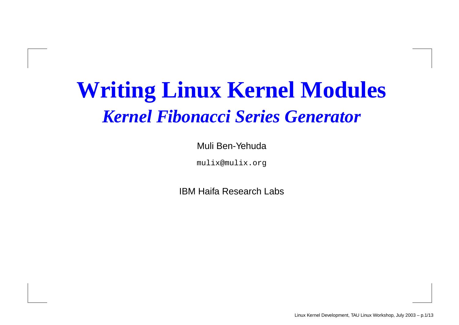# **Writing Linux Kernel Modules** *Kernel Fibonacci Series Generator*

#### Muli Ben-Yehuda

mulix@mulix.org

IBM Haifa Research Labs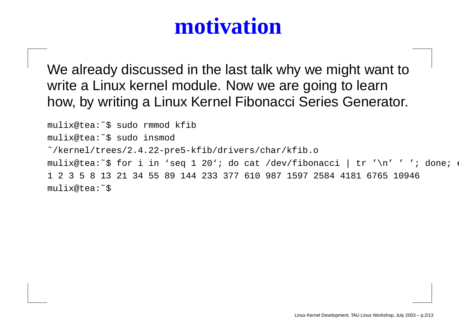### **motivation**

We already discussed in the last talk why we might want to write a Linux kernel module. Now we are going to learn how, by writing <sup>a</sup> Linux Kernel Fibonacci Series Generator.

mulix@tea:˜\$ sudo rmmod kfib mulix@tea:˜\$ sudo insmod ˜/kernel/trees/2.4.22-pre5-kfib/drivers/char/kfib.o mulix@tea:~\$ for i in 'seq 1 20'; do cat /dev/fibonacci | tr '\n' ' '; do 1 2 3 5 8 13 21 34 55 89 144 233 377 610 987 1597 2584 4181 6765 10946 mulix@tea:˜\$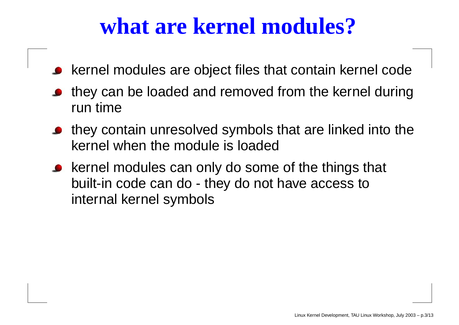### **what are kernel modules?**

- kernel modules are object files that contain kernel code
- they can be loaded and removed from the kernel during run time
- they contain unresolved symbols that are linked into the kernel when the module is loaded
- kernel modules can only do some of the things that built-in code can do - they do not have access to internal kernel symbols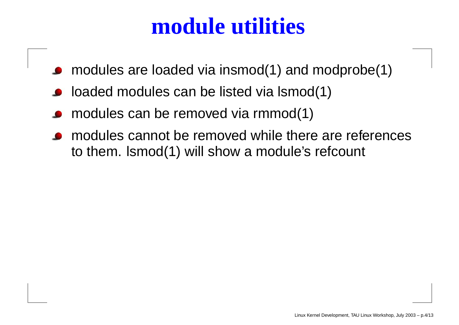#### **module utilities**

- modules are loaded via insmod(1) and modprobe(1)
- loaded modules can be listed via lsmod(1)
- modules can be removed via rmmod(1)
- modules cannot be removed while there are references to them. lsmod(1) will show <sup>a</sup> module's refcount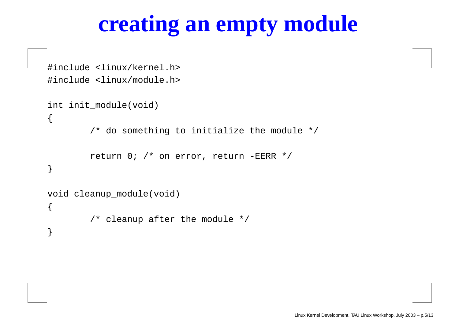# **creating an empty module**

```
#include <linux/kernel.h>
#include <linux/module.h>
int init_module(void)
\{/* do something to initialize the module */
        return 0; /* on error, return -EERR */
}
void cleanup_module(void)
{
        /* cleanup after the module */
}
```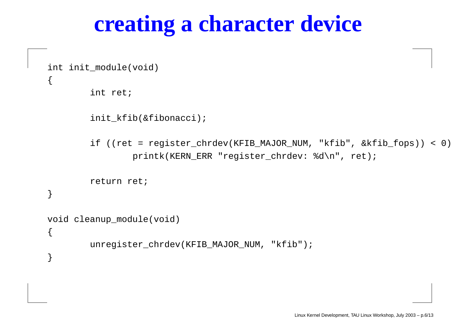#### **creating <sup>a</sup> character device**

int init\_module(void)

 $\{$ 

}

{

}

int ret;

init\_kfib(&fibonacci);

if ((ret <sup>=</sup> register\_chrdev(KFIB\_MAJOR\_NUM, "kfib", &kfib\_fops)) <sup>&</sup>lt; 0) printk(KERN\_ERR "register\_chrdev: %d\n", ret);

return ret;

```
void cleanup_module(void)
```
unregister\_chrdev(KFIB\_MAJOR\_NUM, "kfib");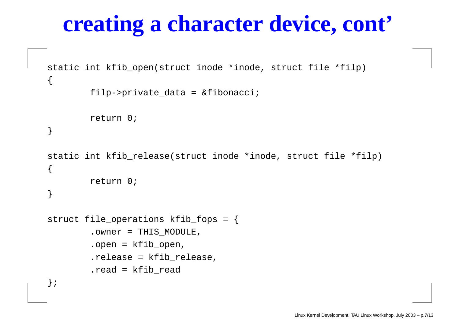### **creating <sup>a</sup> character device, cont'**

```
static int kfib_open(struct inode *inode, struct file *filp)
\left\{ \right.filp->private_data = &fibonacci;
         return 0;
}
static int kfib_release(struct inode *inode, struct file *filp)
\left\{ \right.return 0;
}
struct file_operations kfib_fops = {
         .owner = THIS_MODULE,
         .open = kfib_open,
         .release = kfib_release,
         .read = kfib_read
```

```
};
```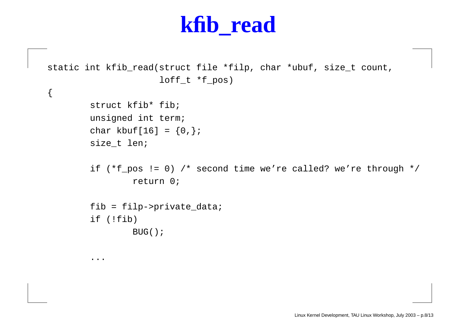#### **kfib\_read**

```
static int kfib_read(struct file *filp, char *ubuf, size_t count,
                     loff t * f pos)
{
        struct kfib* fib;
        unsigned int term;
        char kbuf[16] = {0,};
        size_t len;
        if (*f_pos != 0) /* second time we're called? we're through */
                 return 0;
        fib = filp->private_data;
        if (!fib)
                BUG();
```
...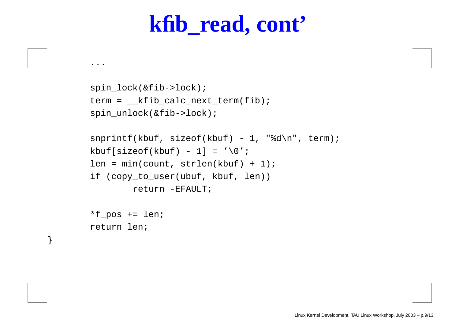#### **kfib\_read, cont'**

```
spin_lock(&fib->lock);
term = __kfib_calc_next_term(fib);
spin_unlock(&fib->lock);
```

```
snprintf(kbuf, sizeof(kbuf) - 1, "%d\n", term);
kbuf[sizeof(kbuf) - 1] = '\\0';len = min(count, strlen(kbuf) + 1);
if (copy_to_user(ubuf, kbuf, len))
        return -EFAULT;
```

```
*f pos += len;
return len;
```
}

...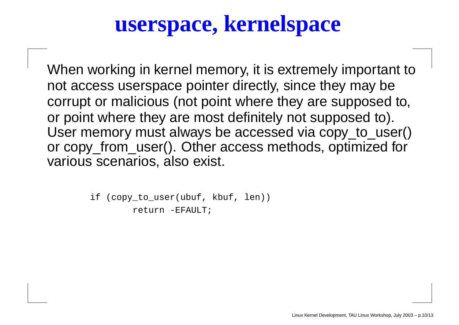#### **userspace, kernelspace**

When working in kernel memory, it is extremely important to not access userspace pointer directly, since they may be corrupt or malicious (not point where they are supposed to, or point where they are most definitely not supposed to). User memory must always be accessed via copy\_to\_user() or copy\_from\_user(). Other access methods, optimized for various scenarios, also exist.

> if (copy\_to\_user(ubuf, kbuf, len)) return -EFAULT;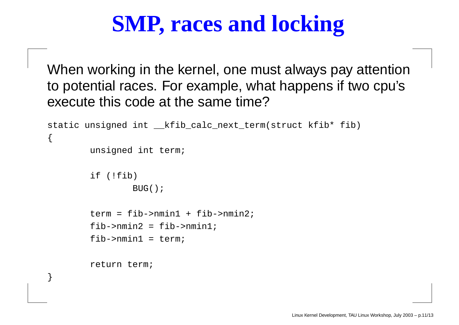# **SMP, races and locking**

When working in the kernel, one must always pay attention to potential races. For example, what happens if two cpu's execute this code at the same time?

```
static unsigned int __kfib_calc_next_term(struct kfib* fib)
{
        unsigned int term;
        if (!fib)
                BUG();
        term = fib->nmin1 + fib->nmin2;
        fib->nmin2 = fib->nmin1;
        fib->nmin1 = term;
        return term;
```
}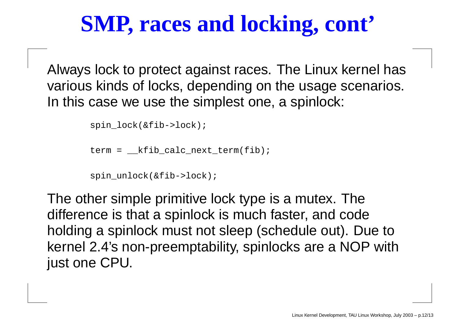# **SMP, races and locking, cont'**

Always lock to protect against races. The Linux kernel has various kinds of locks, depending on the usage scenarios. In this case we use the simplest one, <sup>a</sup> spinlock:

```
spin_lock(&fib->lock);
```

```
term = __kfib_calc_next_term(fib);
```

```
spin_unlock(&fib->lock);
```
The other simple primitive lock type is <sup>a</sup> mutex. The difference is that <sup>a</sup> spinlock is much faster, and code holding <sup>a</sup> spinlock must not sleep (schedule out). Due to kernel 2.4's non-preemptability, spinlocks are <sup>a</sup> NOP with just one CPU.